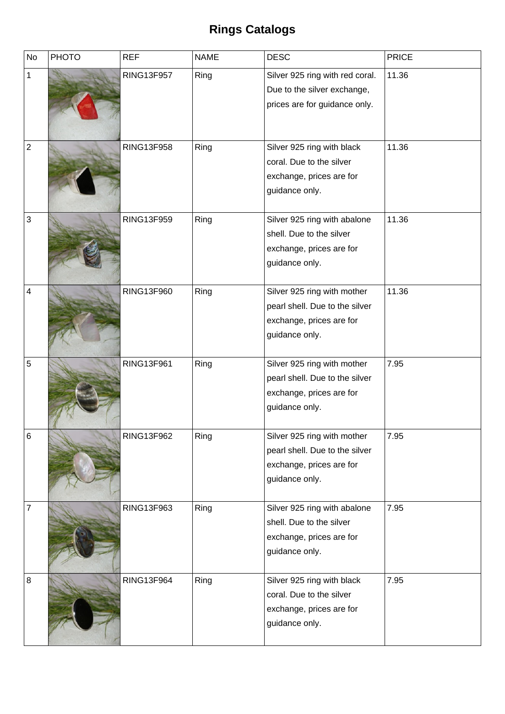## **Rings Catalogs**

| <b>No</b>    | <b>PHOTO</b> | <b>REF</b>        | <b>NAME</b> | <b>DESC</b>                                                                                                 | <b>PRICE</b> |
|--------------|--------------|-------------------|-------------|-------------------------------------------------------------------------------------------------------------|--------------|
| $\mathbf{1}$ |              | <b>RING13F957</b> | Ring        | Silver 925 ring with red coral.<br>Due to the silver exchange,<br>prices are for guidance only.             | 11.36        |
| $\mathbf 2$  |              | <b>RING13F958</b> | Ring        | Silver 925 ring with black<br>coral. Due to the silver<br>exchange, prices are for<br>guidance only.        | 11.36        |
| 3            |              | RING13F959        | Ring        | Silver 925 ring with abalone<br>shell. Due to the silver<br>exchange, prices are for<br>guidance only.      | 11.36        |
| 4            |              | <b>RING13F960</b> | Ring        | Silver 925 ring with mother<br>pearl shell. Due to the silver<br>exchange, prices are for<br>guidance only. | 11.36        |
| 5            |              | <b>RING13F961</b> | Ring        | Silver 925 ring with mother<br>pearl shell. Due to the silver<br>exchange, prices are for<br>guidance only. | 7.95         |
| 6            |              | RING13F962        | Ring        | Silver 925 ring with mother<br>pearl shell. Due to the silver<br>exchange, prices are for<br>guidance only. | 7.95         |
| 7            |              | RING13F963        | Ring        | Silver 925 ring with abalone<br>shell. Due to the silver<br>exchange, prices are for<br>guidance only.      | 7.95         |
| 8            |              | <b>RING13F964</b> | Ring        | Silver 925 ring with black<br>coral. Due to the silver<br>exchange, prices are for<br>guidance only.        | 7.95         |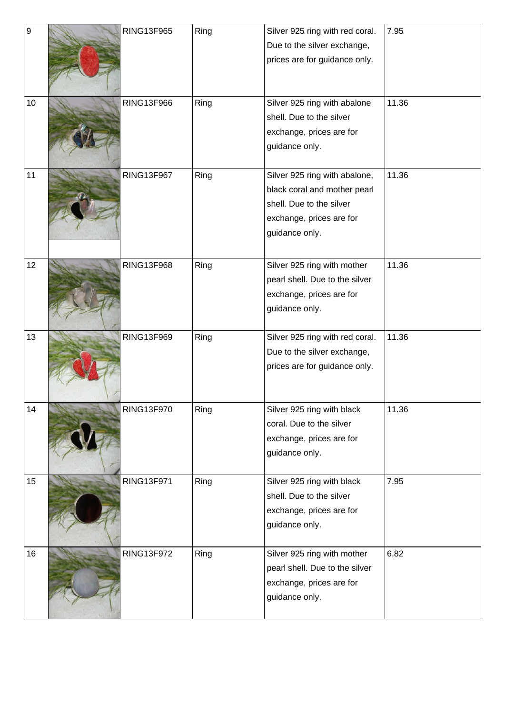| $\boldsymbol{9}$ | <b>RING13F965</b> | Ring | Silver 925 ring with red coral. | 7.95  |
|------------------|-------------------|------|---------------------------------|-------|
|                  |                   |      | Due to the silver exchange,     |       |
|                  |                   |      | prices are for guidance only.   |       |
|                  |                   |      |                                 |       |
|                  |                   |      |                                 |       |
| 10               | <b>RING13F966</b> | Ring | Silver 925 ring with abalone    | 11.36 |
|                  |                   |      | shell. Due to the silver        |       |
|                  |                   |      | exchange, prices are for        |       |
|                  |                   |      | guidance only.                  |       |
|                  |                   |      |                                 |       |
| 11               | <b>RING13F967</b> | Ring | Silver 925 ring with abalone,   | 11.36 |
|                  |                   |      | black coral and mother pearl    |       |
|                  |                   |      | shell. Due to the silver        |       |
|                  |                   |      | exchange, prices are for        |       |
|                  |                   |      | guidance only.                  |       |
|                  |                   |      |                                 |       |
| 12               | <b>RING13F968</b> | Ring | Silver 925 ring with mother     | 11.36 |
|                  |                   |      | pearl shell. Due to the silver  |       |
|                  |                   |      | exchange, prices are for        |       |
|                  |                   |      | guidance only.                  |       |
|                  |                   |      |                                 |       |
| 13               | RING13F969        | Ring | Silver 925 ring with red coral. | 11.36 |
|                  |                   |      | Due to the silver exchange,     |       |
|                  |                   |      | prices are for guidance only.   |       |
|                  |                   |      |                                 |       |
|                  |                   |      |                                 |       |
| 14               | <b>RING13F970</b> | Ring | Silver 925 ring with black      | 11.36 |
|                  |                   |      | coral. Due to the silver        |       |
|                  |                   |      | exchange, prices are for        |       |
|                  |                   |      | guidance only.                  |       |
|                  |                   |      |                                 |       |
| 15               | RING13F971        | Ring | Silver 925 ring with black      | 7.95  |
|                  |                   |      | shell. Due to the silver        |       |
|                  |                   |      | exchange, prices are for        |       |
|                  |                   |      | guidance only.                  |       |
|                  |                   |      |                                 |       |
| 16               | <b>RING13F972</b> | Ring | Silver 925 ring with mother     | 6.82  |
|                  |                   |      | pearl shell. Due to the silver  |       |
|                  |                   |      | exchange, prices are for        |       |
|                  |                   |      | guidance only.                  |       |
|                  |                   |      |                                 |       |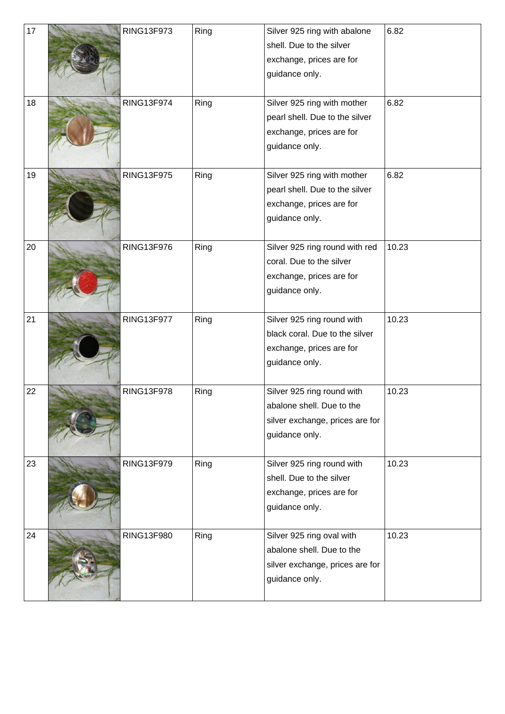| 17 | <b>RING13F973</b> | Ring | Silver 925 ring with abalone    | 6.82  |
|----|-------------------|------|---------------------------------|-------|
|    |                   |      | shell. Due to the silver        |       |
|    |                   |      | exchange, prices are for        |       |
|    |                   |      | guidance only.                  |       |
|    |                   |      |                                 |       |
| 18 | <b>RING13F974</b> | Ring | Silver 925 ring with mother     | 6.82  |
|    |                   |      | pearl shell. Due to the silver  |       |
|    |                   |      | exchange, prices are for        |       |
|    |                   |      | guidance only.                  |       |
|    |                   |      |                                 |       |
| 19 | <b>RING13F975</b> | Ring | Silver 925 ring with mother     | 6.82  |
|    |                   |      | pearl shell. Due to the silver  |       |
|    |                   |      | exchange, prices are for        |       |
|    |                   |      | guidance only.                  |       |
|    |                   |      |                                 |       |
| 20 | <b>RING13F976</b> | Ring | Silver 925 ring round with red  | 10.23 |
|    |                   |      | coral. Due to the silver        |       |
|    |                   |      | exchange, prices are for        |       |
|    |                   |      | guidance only.                  |       |
|    |                   |      |                                 |       |
| 21 | <b>RING13F977</b> | Ring | Silver 925 ring round with      | 10.23 |
|    |                   |      | black coral. Due to the silver  |       |
|    |                   |      | exchange, prices are for        |       |
|    |                   |      | guidance only.                  |       |
|    |                   |      |                                 |       |
| 22 | <b>RING13F978</b> | Ring | Silver 925 ring round with      | 10.23 |
|    |                   |      | abalone shell. Due to the       |       |
|    |                   |      | silver exchange, prices are for |       |
|    |                   |      | guidance only.                  |       |
| 23 | RING13F979        | Ring | Silver 925 ring round with      | 10.23 |
|    |                   |      | shell. Due to the silver        |       |
|    |                   |      | exchange, prices are for        |       |
|    |                   |      | guidance only.                  |       |
|    |                   |      |                                 |       |
| 24 | <b>RING13F980</b> | Ring | Silver 925 ring oval with       | 10.23 |
|    |                   |      | abalone shell. Due to the       |       |
|    |                   |      | silver exchange, prices are for |       |
|    |                   |      | guidance only.                  |       |
|    |                   |      |                                 |       |
|    |                   |      |                                 |       |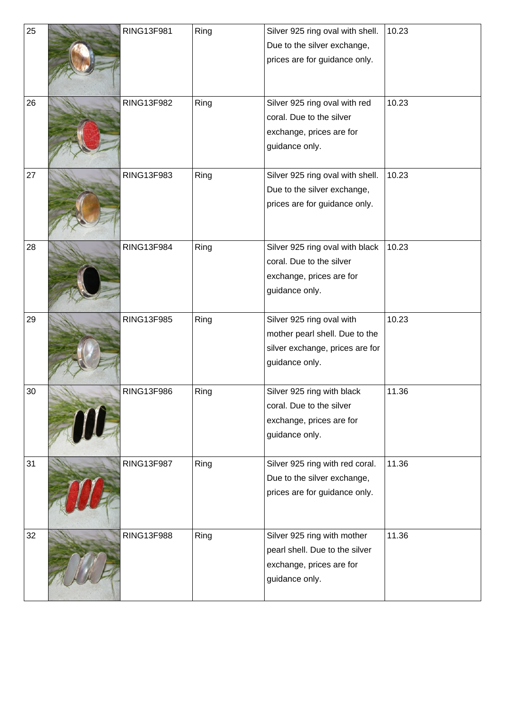| 25 | RING13F981        | Ring | Silver 925 ring oval with shell. | 10.23 |
|----|-------------------|------|----------------------------------|-------|
|    |                   |      | Due to the silver exchange,      |       |
|    |                   |      | prices are for guidance only.    |       |
|    |                   |      |                                  |       |
|    |                   |      |                                  |       |
| 26 | <b>RING13F982</b> | Ring | Silver 925 ring oval with red    | 10.23 |
|    |                   |      | coral. Due to the silver         |       |
|    |                   |      | exchange, prices are for         |       |
|    |                   |      | guidance only.                   |       |
|    |                   |      |                                  |       |
| 27 | <b>RING13F983</b> | Ring | Silver 925 ring oval with shell. | 10.23 |
|    |                   |      | Due to the silver exchange,      |       |
|    |                   |      | prices are for guidance only.    |       |
|    |                   |      |                                  |       |
|    |                   |      |                                  |       |
| 28 | <b>RING13F984</b> | Ring | Silver 925 ring oval with black  | 10.23 |
|    |                   |      | coral. Due to the silver         |       |
|    |                   |      | exchange, prices are for         |       |
|    |                   |      | guidance only.                   |       |
|    |                   |      |                                  |       |
| 29 | <b>RING13F985</b> | Ring | Silver 925 ring oval with        | 10.23 |
|    |                   |      | mother pearl shell. Due to the   |       |
|    |                   |      | silver exchange, prices are for  |       |
|    |                   |      | guidance only.                   |       |
|    |                   |      |                                  |       |
| 30 | <b>RING13F986</b> | Ring | Silver 925 ring with black       | 11.36 |
|    |                   |      | coral. Due to the silver         |       |
|    |                   |      | exchange, prices are for         |       |
|    |                   |      | guidance only.                   |       |
| 31 | <b>RING13F987</b> | Ring | Silver 925 ring with red coral.  | 11.36 |
|    |                   |      | Due to the silver exchange,      |       |
|    |                   |      | prices are for guidance only.    |       |
|    |                   |      |                                  |       |
|    |                   |      |                                  |       |
| 32 | <b>RING13F988</b> | Ring | Silver 925 ring with mother      | 11.36 |
|    |                   |      | pearl shell. Due to the silver   |       |
|    |                   |      | exchange, prices are for         |       |
|    |                   |      | guidance only.                   |       |
|    |                   |      |                                  |       |